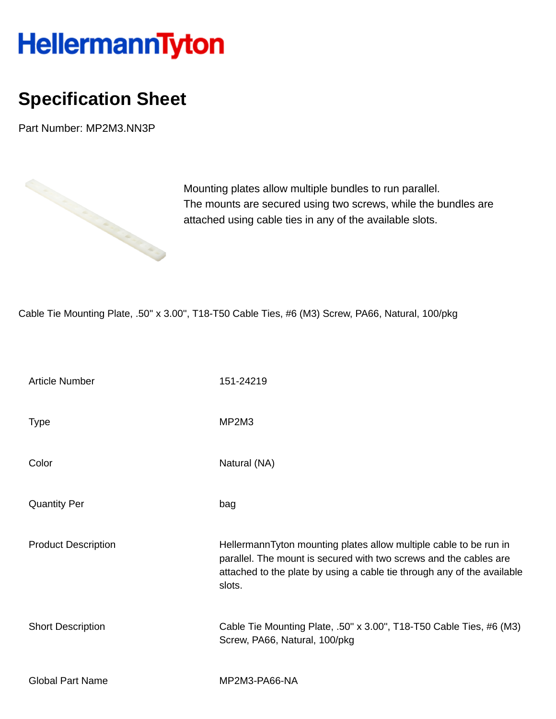## HellermannTyton

## **Specification Sheet**

Part Number: MP2M3.NN3P



Mounting plates allow multiple bundles to run parallel. The mounts are secured using two screws, while the bundles are attached using cable ties in any of the available slots.

Cable Tie Mounting Plate, .50'' x 3.00'', T18-T50 Cable Ties, #6 (M3) Screw, PA66, Natural, 100/pkg

| <b>Article Number</b>      | 151-24219                                                                                                                                                                                                                   |
|----------------------------|-----------------------------------------------------------------------------------------------------------------------------------------------------------------------------------------------------------------------------|
| <b>Type</b>                | MP2M3                                                                                                                                                                                                                       |
| Color                      | Natural (NA)                                                                                                                                                                                                                |
| <b>Quantity Per</b>        | bag                                                                                                                                                                                                                         |
| <b>Product Description</b> | HellermannTyton mounting plates allow multiple cable to be run in<br>parallel. The mount is secured with two screws and the cables are<br>attached to the plate by using a cable tie through any of the available<br>slots. |
| <b>Short Description</b>   | Cable Tie Mounting Plate, .50" x 3.00", T18-T50 Cable Ties, #6 (M3)<br>Screw, PA66, Natural, 100/pkg                                                                                                                        |
| <b>Global Part Name</b>    | MP2M3-PA66-NA                                                                                                                                                                                                               |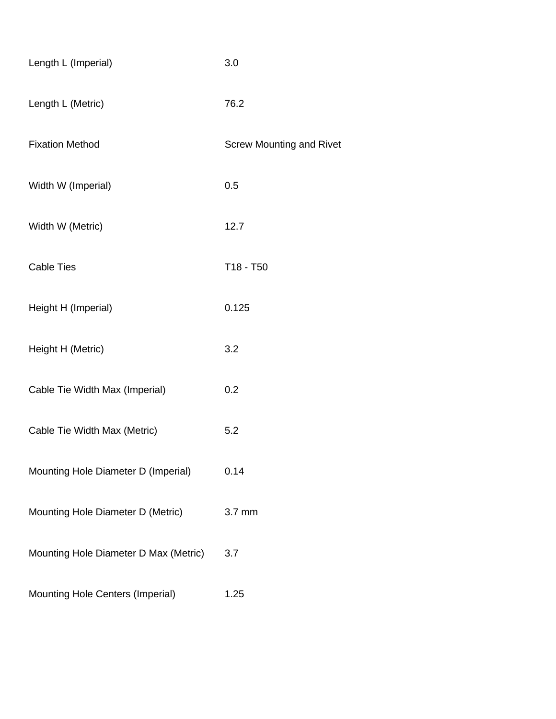| Length L (Imperial)                   | 3.0                             |  |  |
|---------------------------------------|---------------------------------|--|--|
| Length L (Metric)                     | 76.2                            |  |  |
| <b>Fixation Method</b>                | <b>Screw Mounting and Rivet</b> |  |  |
| Width W (Imperial)                    | 0.5                             |  |  |
| Width W (Metric)                      | 12.7                            |  |  |
| <b>Cable Ties</b>                     | T18 - T50                       |  |  |
| Height H (Imperial)                   | 0.125                           |  |  |
| Height H (Metric)                     | 3.2                             |  |  |
| Cable Tie Width Max (Imperial)        | 0.2                             |  |  |
| Cable Tie Width Max (Metric)          | 5.2                             |  |  |
| Mounting Hole Diameter D (Imperial)   | 0.14                            |  |  |
| Mounting Hole Diameter D (Metric)     | 3.7 mm                          |  |  |
| Mounting Hole Diameter D Max (Metric) | 3.7                             |  |  |
| Mounting Hole Centers (Imperial)      | 1.25                            |  |  |